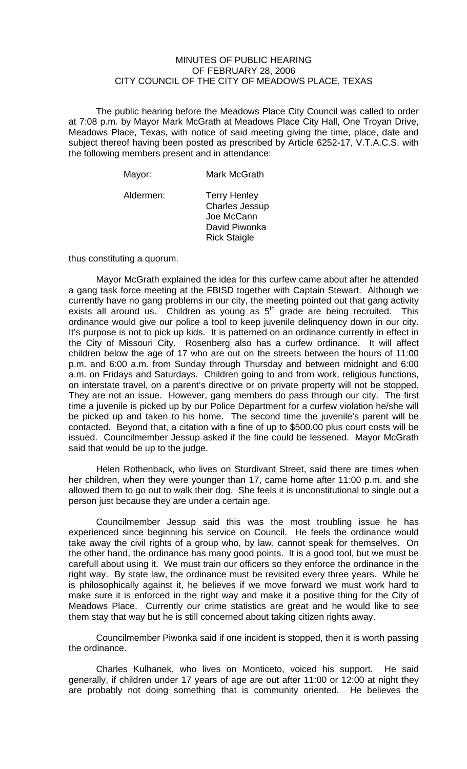## MINUTES OF PUBLIC HEARING OF FEBRUARY 28, 2006 CITY COUNCIL OF THE CITY OF MEADOWS PLACE, TEXAS

The public hearing before the Meadows Place City Council was called to order at 7:08 p.m. by Mayor Mark McGrath at Meadows Place City Hall, One Troyan Drive, Meadows Place, Texas, with notice of said meeting giving the time, place, date and subject thereof having been posted as prescribed by Article 6252-17, V.T.A.C.S. with the following members present and in attendance:

| Mayor:    | Mark McGrath                                                                                       |
|-----------|----------------------------------------------------------------------------------------------------|
| Aldermen: | <b>Terry Henley</b><br><b>Charles Jessup</b><br>Joe McCann<br>David Piwonka<br><b>Rick Staigle</b> |

thus constituting a quorum.

 Mayor McGrath explained the idea for this curfew came about after he attended a gang task force meeting at the FBISD together with Captain Stewart. Although we currently have no gang problems in our city, the meeting pointed out that gang activity exists all around us. Children as young as  $5<sup>th</sup>$  grade are being recruited. This ordinance would give our police a tool to keep juvenile delinquency down in our city. It's purpose is not to pick up kids. It is patterned on an ordinance currently in effect in the City of Missouri City. Rosenberg also has a curfew ordinance. It will affect children below the age of 17 who are out on the streets between the hours of 11:00 p.m. and 6:00 a.m. from Sunday through Thursday and between midnight and 6:00 a.m. on Fridays and Saturdays. Children going to and from work, religious functions, on interstate travel, on a parent's directive or on private property will not be stopped. They are not an issue. However, gang members do pass through our city. The first time a juvenile is picked up by our Police Department for a curfew violation he/she will be picked up and taken to his home. The second time the juvenile's parent will be contacted. Beyond that, a citation with a fine of up to \$500.00 plus court costs will be issued. Councilmember Jessup asked if the fine could be lessened. Mayor McGrath said that would be up to the judge.

 Helen Rothenback, who lives on Sturdivant Street, said there are times when her children, when they were younger than 17, came home after 11:00 p.m. and she allowed them to go out to walk their dog. She feels it is unconstitutional to single out a person just because they are under a certain age.

 Councilmember Jessup said this was the most troubling issue he has experienced since beginning his service on Council. He feels the ordinance would take away the civil rights of a group who, by law, cannot speak for themselves. On the other hand, the ordinance has many good points. It is a good tool, but we must be carefull about using it. We must train our officers so they enforce the ordinance in the right way. By state law, the ordinance must be revisited every three years. While he is philosophically against it, he believes if we move forward we must work hard to make sure it is enforced in the right way and make it a positive thing for the City of Meadows Place. Currently our crime statistics are great and he would like to see them stay that way but he is still concerned about taking citizen rights away.

 Councilmember Piwonka said if one incident is stopped, then it is worth passing the ordinance.

 Charles Kulhanek, who lives on Monticeto, voiced his support. He said generally, if children under 17 years of age are out after 11:00 or 12:00 at night they are probably not doing something that is community oriented. He believes the